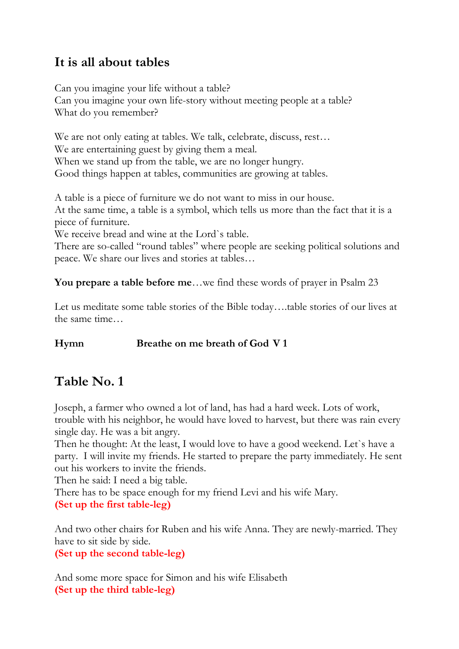## **It is all about tables**

Can you imagine your life without a table? Can you imagine your own life-story without meeting people at a table? What do you remember?

We are not only eating at tables. We talk, celebrate, discuss, rest… We are entertaining guest by giving them a meal. When we stand up from the table, we are no longer hungry. Good things happen at tables, communities are growing at tables.

A table is a piece of furniture we do not want to miss in our house. At the same time, a table is a symbol, which tells us more than the fact that it is a piece of furniture.

We receive bread and wine at the Lord`s table.

There are so-called "round tables" where people are seeking political solutions and peace. We share our lives and stories at tables…

**You prepare a table before me**…we find these words of prayer in Psalm 23

Let us meditate some table stories of the Bible today….table stories of our lives at the same time…

**Hymn Breathe on me breath of God V 1**

# **Table No. 1**

Joseph, a farmer who owned a lot of land, has had a hard week. Lots of work, trouble with his neighbor, he would have loved to harvest, but there was rain every single day. He was a bit angry.

Then he thought: At the least, I would love to have a good weekend. Let`s have a party. I will invite my friends. He started to prepare the party immediately. He sent out his workers to invite the friends.

Then he said: I need a big table.

There has to be space enough for my friend Levi and his wife Mary. **(Set up the first table-leg)**

And two other chairs for Ruben and his wife Anna. They are newly-married. They have to sit side by side.

**(Set up the second table-leg)**

And some more space for Simon and his wife Elisabeth **(Set up the third table-leg)**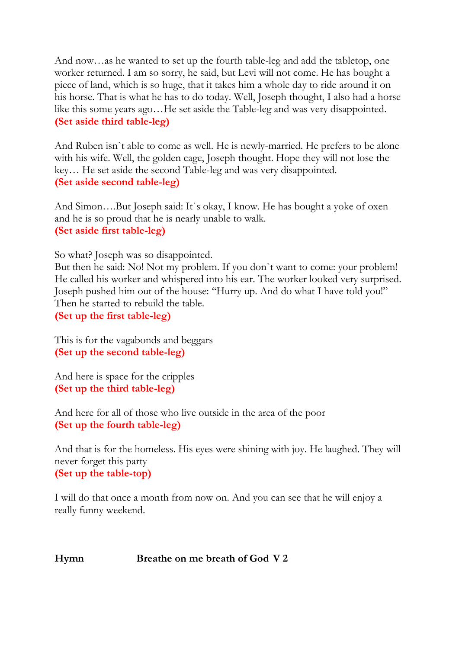And now…as he wanted to set up the fourth table-leg and add the tabletop, one worker returned. I am so sorry, he said, but Levi will not come. He has bought a piece of land, which is so huge, that it takes him a whole day to ride around it on his horse. That is what he has to do today. Well, Joseph thought, I also had a horse like this some years ago…He set aside the Table-leg and was very disappointed. **(Set aside third table-leg)**

And Ruben isn`t able to come as well. He is newly-married. He prefers to be alone with his wife. Well, the golden cage, Joseph thought. Hope they will not lose the key… He set aside the second Table-leg and was very disappointed. **(Set aside second table-leg)**

And Simon….But Joseph said: It`s okay, I know. He has bought a yoke of oxen and he is so proud that he is nearly unable to walk. **(Set aside first table-leg)**

So what? Joseph was so disappointed.

But then he said: No! Not my problem. If you don`t want to come: your problem! He called his worker and whispered into his ear. The worker looked very surprised. Joseph pushed him out of the house: "Hurry up. And do what I have told you!" Then he started to rebuild the table.

**(Set up the first table-leg)**

This is for the vagabonds and beggars **(Set up the second table-leg)**

And here is space for the cripples **(Set up the third table-leg)**

And here for all of those who live outside in the area of the poor **(Set up the fourth table-leg)**

And that is for the homeless. His eyes were shining with joy. He laughed. They will never forget this party **(Set up the table-top)**

I will do that once a month from now on. And you can see that he will enjoy a really funny weekend.

#### **Hymn Breathe on me breath of God V 2**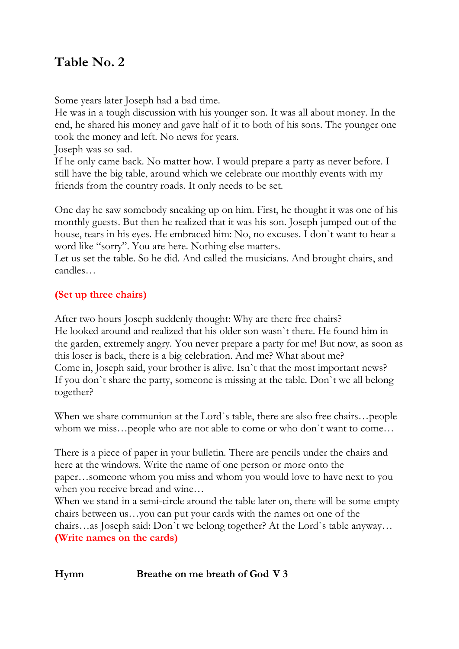## **Table No. 2**

Some years later Joseph had a bad time.

He was in a tough discussion with his younger son. It was all about money. In the end, he shared his money and gave half of it to both of his sons. The younger one took the money and left. No news for years.

Joseph was so sad.

If he only came back. No matter how. I would prepare a party as never before. I still have the big table, around which we celebrate our monthly events with my friends from the country roads. It only needs to be set.

One day he saw somebody sneaking up on him. First, he thought it was one of his monthly guests. But then he realized that it was his son. Joseph jumped out of the house, tears in his eyes. He embraced him: No, no excuses. I don`t want to hear a word like "sorry". You are here. Nothing else matters.

Let us set the table. So he did. And called the musicians. And brought chairs, and candles…

### **(Set up three chairs)**

After two hours Joseph suddenly thought: Why are there free chairs? He looked around and realized that his older son wasn`t there. He found him in the garden, extremely angry. You never prepare a party for me! But now, as soon as this loser is back, there is a big celebration. And me? What about me? Come in, Joseph said, your brother is alive. Isn`t that the most important news? If you don`t share the party, someone is missing at the table. Don`t we all belong together?

When we share communion at the Lord`s table, there are also free chairs…people whom we miss…people who are not able to come or who don`t want to come…

There is a piece of paper in your bulletin. There are pencils under the chairs and here at the windows. Write the name of one person or more onto the paper…someone whom you miss and whom you would love to have next to you when you receive bread and wine…

When we stand in a semi-circle around the table later on, there will be some empty chairs between us…you can put your cards with the names on one of the chairs…as Joseph said: Don`t we belong together? At the Lord`s table anyway… **(Write names on the cards)**

### **Hymn Breathe on me breath of God V 3**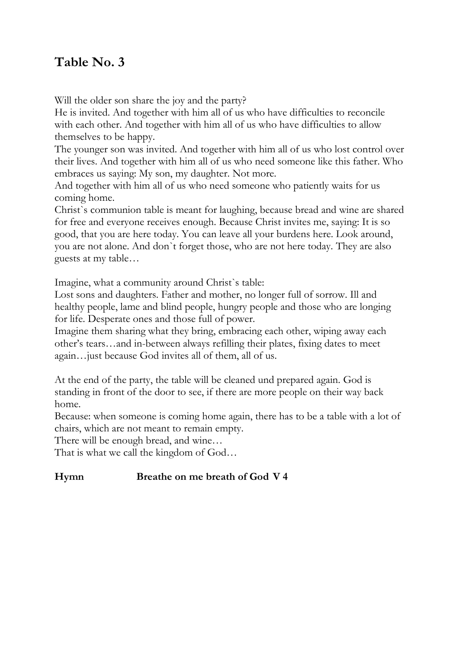## **Table No. 3**

Will the older son share the joy and the party?

He is invited. And together with him all of us who have difficulties to reconcile with each other. And together with him all of us who have difficulties to allow themselves to be happy.

The younger son was invited. And together with him all of us who lost control over their lives. And together with him all of us who need someone like this father. Who embraces us saying: My son, my daughter. Not more.

And together with him all of us who need someone who patiently waits for us coming home.

Christ`s communion table is meant for laughing, because bread and wine are shared for free and everyone receives enough. Because Christ invites me, saying: It is so good, that you are here today. You can leave all your burdens here. Look around, you are not alone. And don`t forget those, who are not here today. They are also guests at my table…

Imagine, what a community around Christ`s table:

Lost sons and daughters. Father and mother, no longer full of sorrow. Ill and healthy people, lame and blind people, hungry people and those who are longing for life. Desperate ones and those full of power.

Imagine them sharing what they bring, embracing each other, wiping away each other's tears…and in-between always refilling their plates, fixing dates to meet again…just because God invites all of them, all of us.

At the end of the party, the table will be cleaned und prepared again. God is standing in front of the door to see, if there are more people on their way back home.

Because: when someone is coming home again, there has to be a table with a lot of chairs, which are not meant to remain empty.

There will be enough bread, and wine…

That is what we call the kingdom of God…

#### **Hymn Breathe on me breath of God V 4**